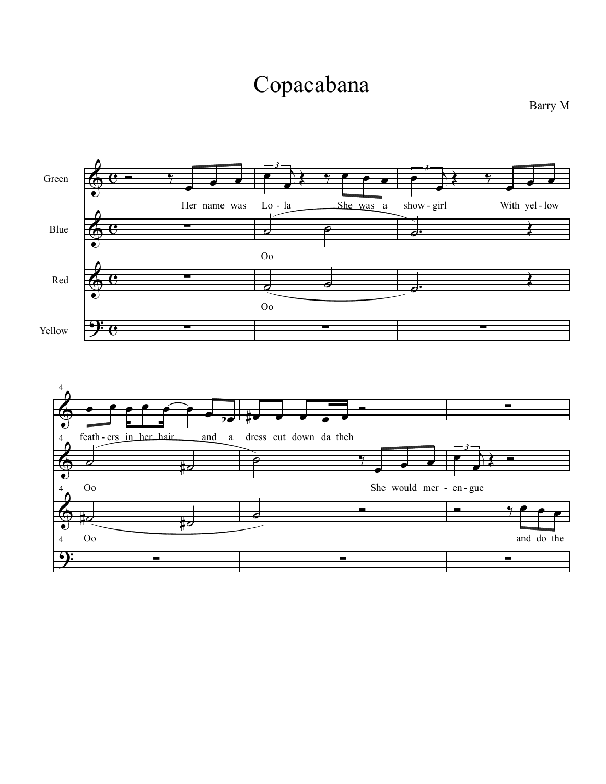## Copacabana

Barry M

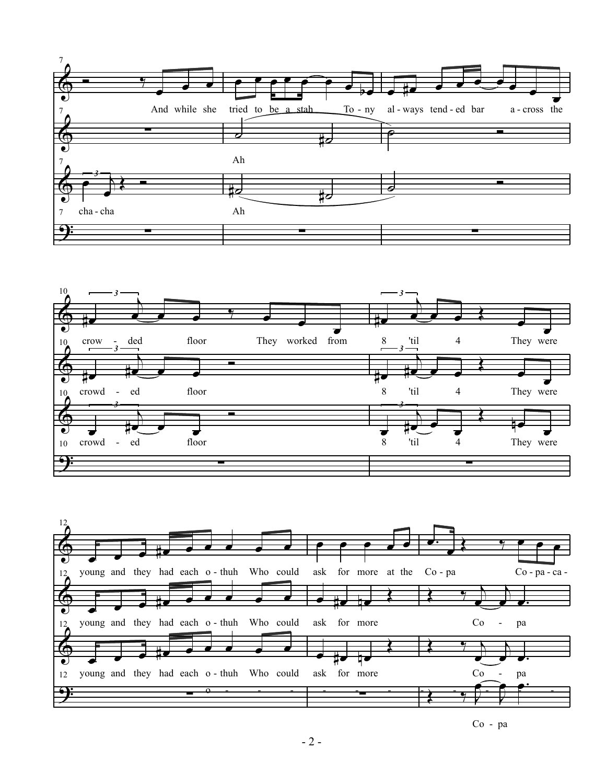





Co - pa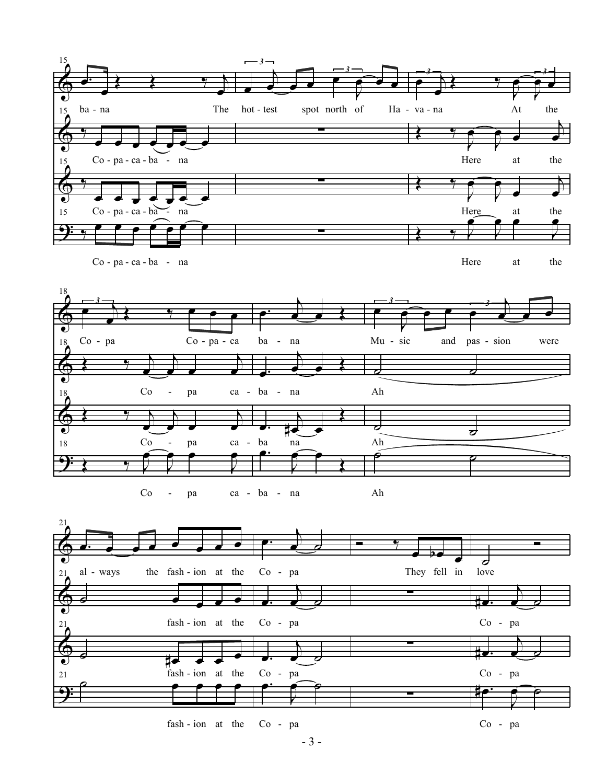

fash - ion at the Co - pa

Co - pa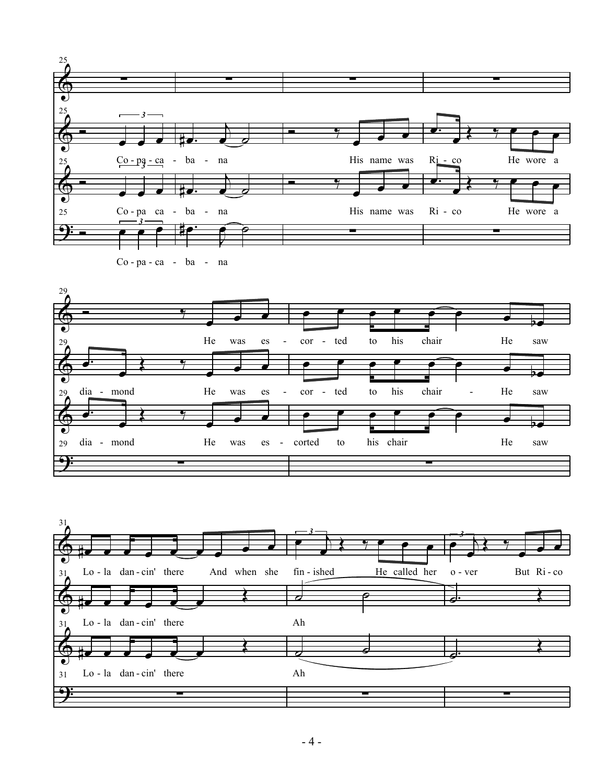





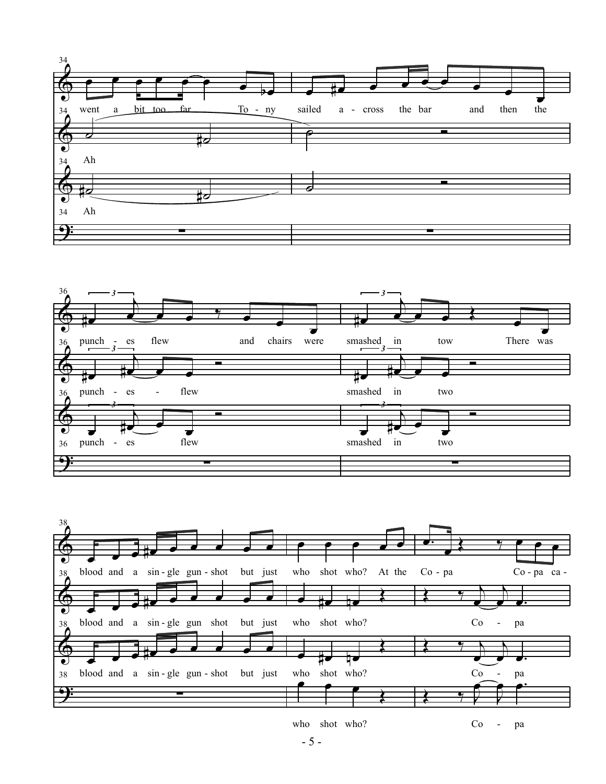





who shot who?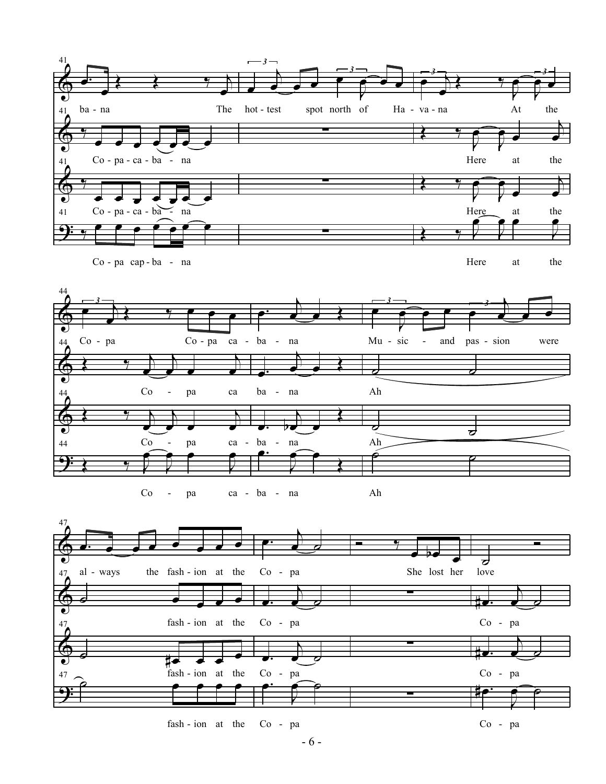

Co - pa

fash - ion at the Co - pa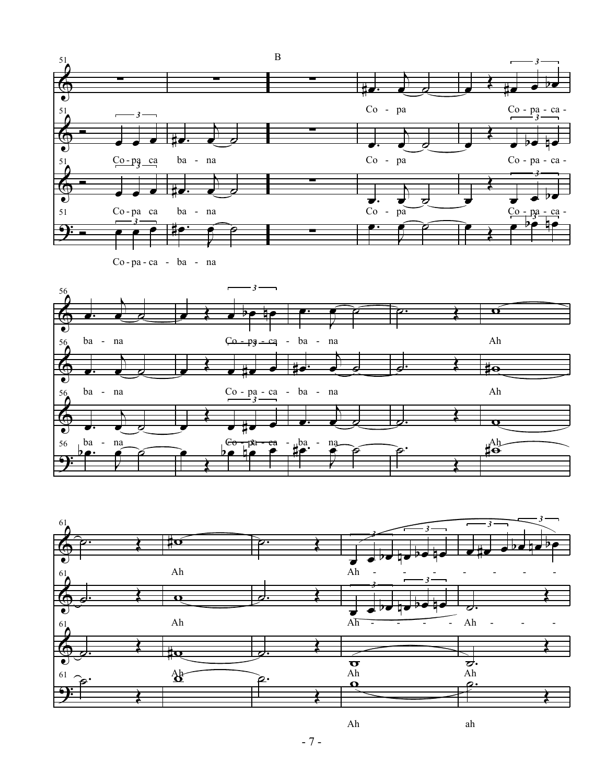





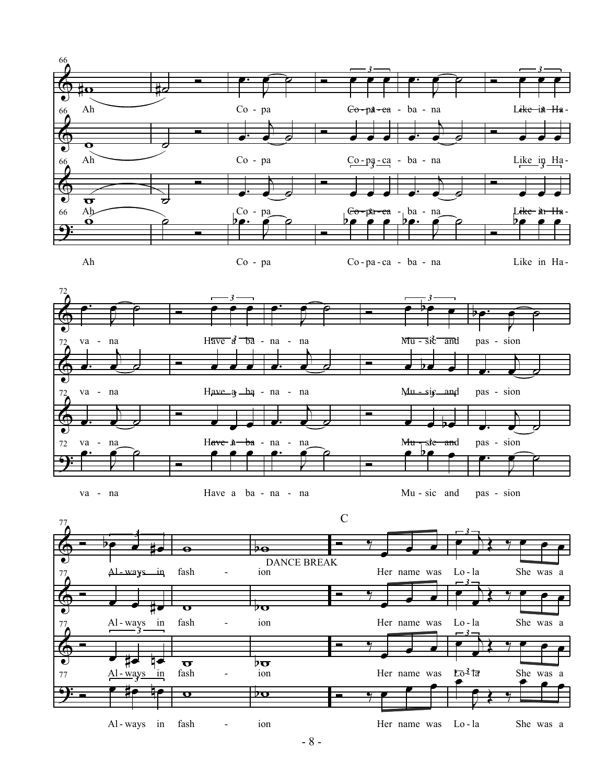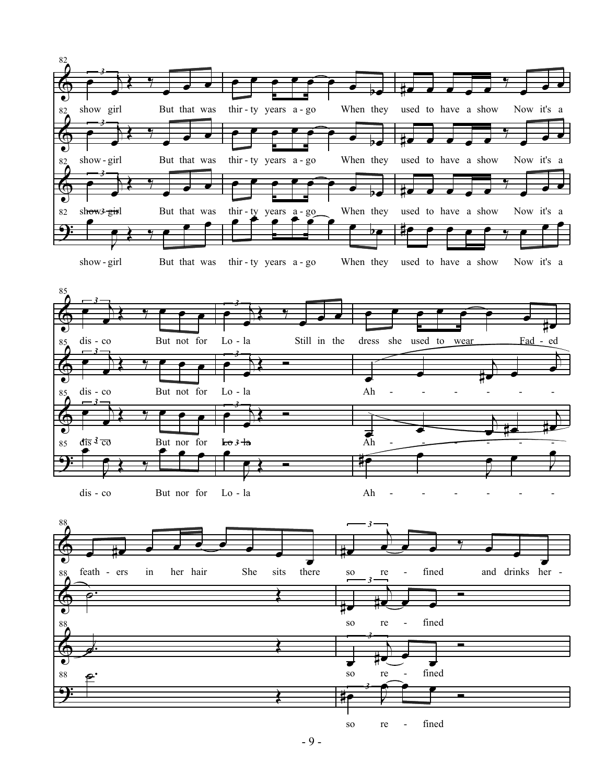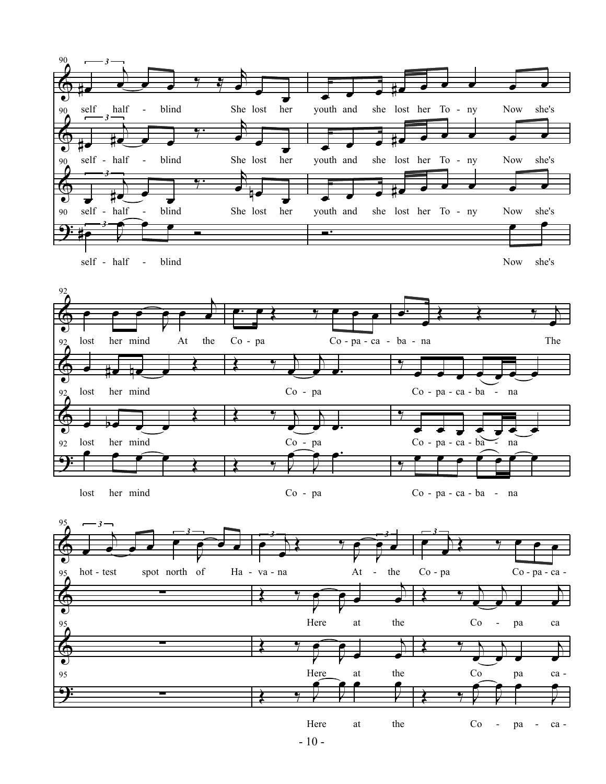